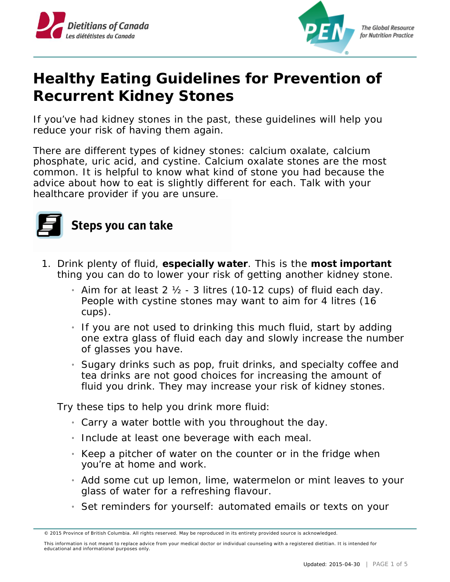



## **Healthy Eating Guidelines for Prevention of Recurrent Kidney Stones**

If you've had kidney stones in the past, these guidelines will help you reduce your risk of having them again.

There are different types of kidney stones: calcium oxalate, calcium phosphate, uric acid, and cystine. Calcium oxalate stones are the most common. It is helpful to know what kind of stone you had because the advice about how to eat is slightly different for each. Talk with your healthcare provider if you are unsure.



## Steps you can take

- 1. Drink plenty of fluid, **especially water**. This is the **most important** thing you can do to lower your risk of getting another kidney stone.
	- $_1$  Aim for at least 2  $\frac{1}{2}$  3 litres (10-12 cups) of fluid each day. People with cystine stones may want to aim for 4 litres (16 cups).
	- $_1$  If you are not used to drinking this much fluid, start by adding one extra glass of fluid each day and slowly increase the number of glasses you have.
	- $_1$  Sugary drinks such as pop, fruit drinks, and specialty coffee and tea drinks are not good choices for increasing the amount of fluid you drink. They may increase your risk of kidney stones.

Try these tips to help you drink more fluid:

- » Carry a water bottle with you throughout the day.
- » Include at least one beverage with each meal.
- $\mu$  Keep a pitcher of water on the counter or in the fridge when you're at home and work.
- » Add some cut up lemon, lime, watermelon or mint leaves to your glass of water for a refreshing flavour.
- » Set reminders for yourself: automated emails or texts on your

<sup>© 2015</sup> Province of British Columbia. All rights reserved. May be reproduced in its entirety provided source is acknowledged.

This information is not meant to replace advice from your medical doctor or individual counseling with a registered dietitian. It is intended for educational and informational purposes only.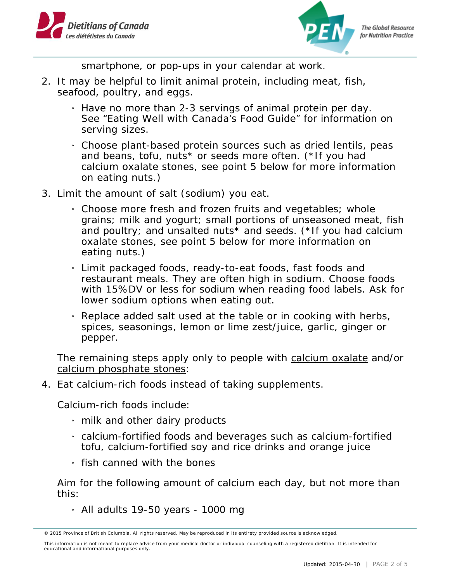



smartphone, or pop-ups in your calendar at work.

- 2. It may be helpful to limit animal protein, including meat, fish, seafood, poultry, and eggs.
	- » Have no more than 2-3 servings of animal protein per day. See "Eating Well with Canada's Food Guide" for information on serving sizes.
	- » Choose plant-based protein sources such as dried lentils, peas and beans, tofu, nuts\* or seeds more often. (\*If you had calcium oxalate stones, see point 5 below for more information on eating nuts.)
- 3. Limit the amount of salt (sodium) you eat.
	- » Choose more fresh and frozen fruits and vegetables; whole grains; milk and yogurt; small portions of unseasoned meat, fish and poultry; and unsalted nuts\* and seeds. (\*If you had calcium oxalate stones, see point 5 below for more information on eating nuts.)
	- » Limit packaged foods, ready-to-eat foods, fast foods and restaurant meals. They are often high in sodium. Choose foods with 15%DV or less for sodium when reading food labels. Ask for lower sodium options when eating out.
	- » Replace added salt used at the table or in cooking with herbs, spices, seasonings, lemon or lime zest/juice, garlic, ginger or pepper.

The remaining steps apply only to people with calcium oxalate and/or calcium phosphate stones:

4. Eat calcium-rich foods instead of taking supplements.

Calcium-rich foods include:

- » milk and other dairy products
- » calcium-fortified foods and beverages such as calcium-fortified tofu, calcium-fortified soy and rice drinks and orange juice
- » fish canned with the bones

Aim for the following amount of calcium each day, but not more than this:

 $_1$  All adults 19-50 years - 1000 mg

<sup>© 2015</sup> Province of British Columbia. All rights reserved. May be reproduced in its entirety provided source is acknowledged.

This information is not meant to replace advice from your medical doctor or individual counseling with a registered dietitian. It is intended for educational and informational purposes only.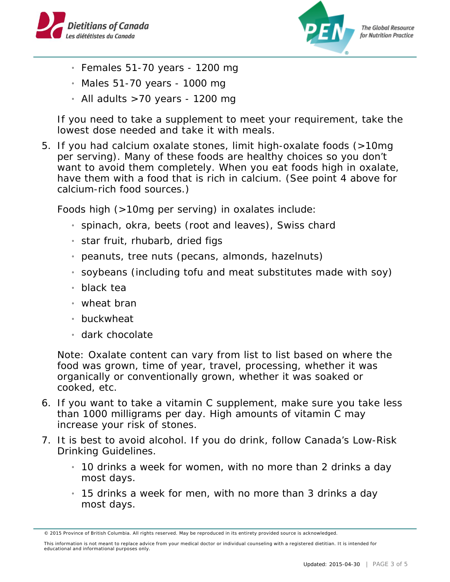



**The Global Resource** for Nutrition Practice

- $\frac{1}{1}$  Females 51-70 years 1200 mg
- » Males 51-70 years 1000 mg
- $_1$  All adults >70 years 1200 mg

If you need to take a supplement to meet your requirement, take the lowest dose needed and take it with meals.

5. If you had calcium oxalate stones, limit high-oxalate foods (>10mg per serving). Many of these foods are healthy choices so you don't want to avoid them completely. When you eat foods high in oxalate, have them with a food that is rich in calcium. (See point 4 above for calcium-rich food sources.)

Foods high (>10mg per serving) in oxalates include:

- » spinach, okra, beets (root and leaves), Swiss chard
- $_1$  star fruit, rhubarb, dried figs
- » peanuts, tree nuts (pecans, almonds, hazelnuts)
- $_1$  soybeans (including tofu and meat substitutes made with soy)
- » black tea
- » wheat bran
- » buckwheat
- » dark chocolate

Note: Oxalate content can vary from list to list based on where the food was grown, time of year, travel, processing, whether it was organically or conventionally grown, whether it was soaked or cooked, etc.

- 6. If you want to take a vitamin C supplement, make sure you take less than 1000 milligrams per day. High amounts of vitamin C may increase your risk of stones.
- 7. It is best to avoid alcohol. If you do drink, follow Canada's Low-Risk Drinking Guidelines.
	- $_1$  10 drinks a week for women, with no more than 2 drinks a day most days.
	- » 15 drinks a week for men, with no more than 3 drinks a day most days.

<sup>© 2015</sup> Province of British Columbia. All rights reserved. May be reproduced in its entirety provided source is acknowledged.

This information is not meant to replace advice from your medical doctor or individual counseling with a registered dietitian. It is intended for educational and informational purposes only.